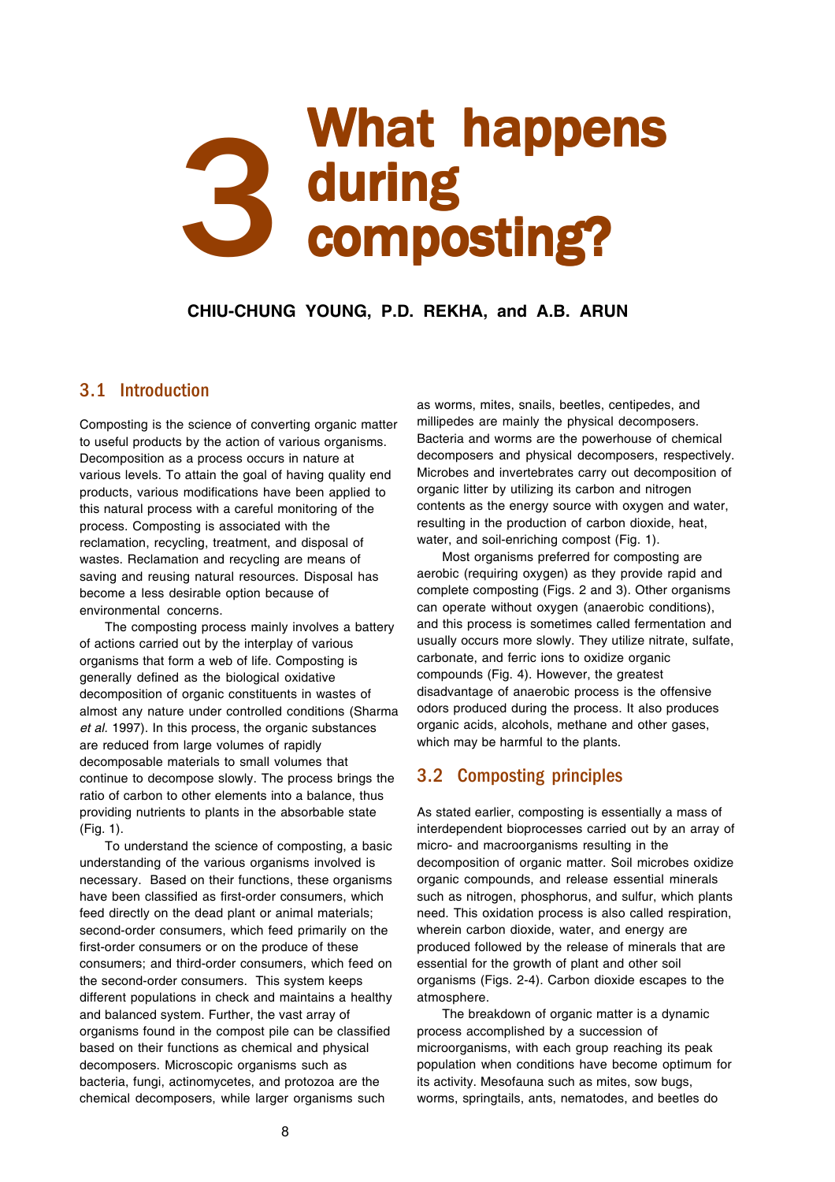# 3 What happens<br>3 during<br>Composting? during composting?

**CHIU-CHUNG YOUNG, P.D. REKHA, and A.B. ARUN**

## 3.1 Introduction

Composting is the science of converting organic matter to useful products by the action of various organisms. Decomposition as a process occurs in nature at various levels. To attain the goal of having quality end products, various modifications have been applied to this natural process with a careful monitoring of the process. Composting is associated with the reclamation, recycling, treatment, and disposal of wastes. Reclamation and recycling are means of saving and reusing natural resources. Disposal has become a less desirable option because of environmental concerns.

The composting process mainly involves a battery of actions carried out by the interplay of various organisms that form a web of life. Composting is generally defined as the biological oxidative decomposition of organic constituents in wastes of almost any nature under controlled conditions (Sharma *et al.* 1997). In this process, the organic substances are reduced from large volumes of rapidly decomposable materials to small volumes that continue to decompose slowly. The process brings the ratio of carbon to other elements into a balance, thus providing nutrients to plants in the absorbable state (Fig. 1).

To understand the science of composting, a basic understanding of the various organisms involved is necessary. Based on their functions, these organisms have been classified as first-order consumers, which feed directly on the dead plant or animal materials; second-order consumers, which feed primarily on the first-order consumers or on the produce of these consumers; and third-order consumers, which feed on the second-order consumers. This system keeps different populations in check and maintains a healthy and balanced system. Further, the vast array of organisms found in the compost pile can be classified based on their functions as chemical and physical decomposers. Microscopic organisms such as bacteria, fungi, actinomycetes, and protozoa are the chemical decomposers, while larger organisms such

as worms, mites, snails, beetles, centipedes, and millipedes are mainly the physical decomposers. Bacteria and worms are the powerhouse of chemical decomposers and physical decomposers, respectively. Microbes and invertebrates carry out decomposition of organic litter by utilizing its carbon and nitrogen contents as the energy source with oxygen and water, resulting in the production of carbon dioxide, heat, water, and soil-enriching compost (Fig. 1).

Most organisms preferred for composting are aerobic (requiring oxygen) as they provide rapid and complete composting (Figs. 2 and 3). Other organisms can operate without oxygen (anaerobic conditions), and this process is sometimes called fermentation and usually occurs more slowly. They utilize nitrate, sulfate, carbonate, and ferric ions to oxidize organic compounds (Fig. 4). However, the greatest disadvantage of anaerobic process is the offensive odors produced during the process. It also produces organic acids, alcohols, methane and other gases, which may be harmful to the plants.

# 3.2 Composting principles

As stated earlier, composting is essentially a mass of interdependent bioprocesses carried out by an array of micro- and macroorganisms resulting in the decomposition of organic matter. Soil microbes oxidize organic compounds, and release essential minerals such as nitrogen, phosphorus, and sulfur, which plants need. This oxidation process is also called respiration, wherein carbon dioxide, water, and energy are produced followed by the release of minerals that are essential for the growth of plant and other soil organisms (Figs. 2-4). Carbon dioxide escapes to the atmosphere.

The breakdown of organic matter is a dynamic process accomplished by a succession of microorganisms, with each group reaching its peak population when conditions have become optimum for its activity. Mesofauna such as mites, sow bugs, worms, springtails, ants, nematodes, and beetles do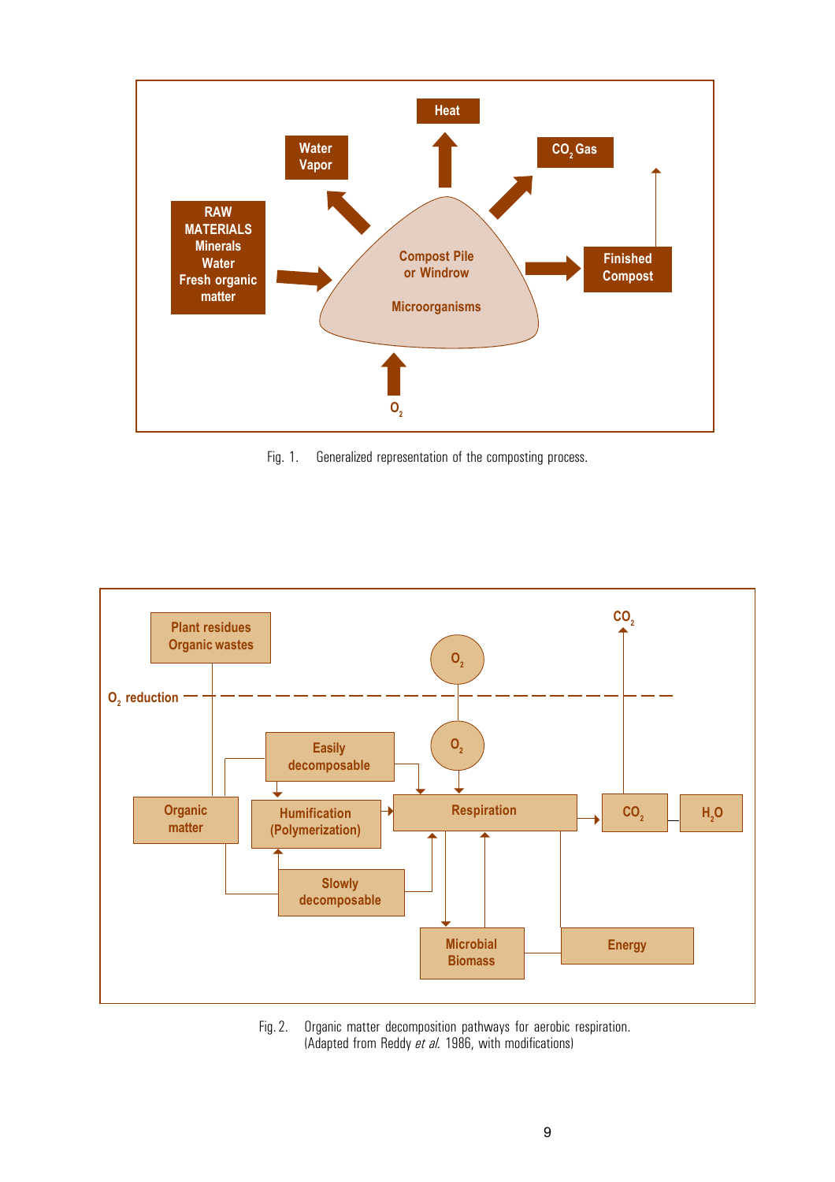

Fig. 1. Generalized representation of the composting process.



Fig. 2. Organic matter decomposition pathways for aerobic respiration. (Adapted from Reddy *et al.* 1986, with modifications)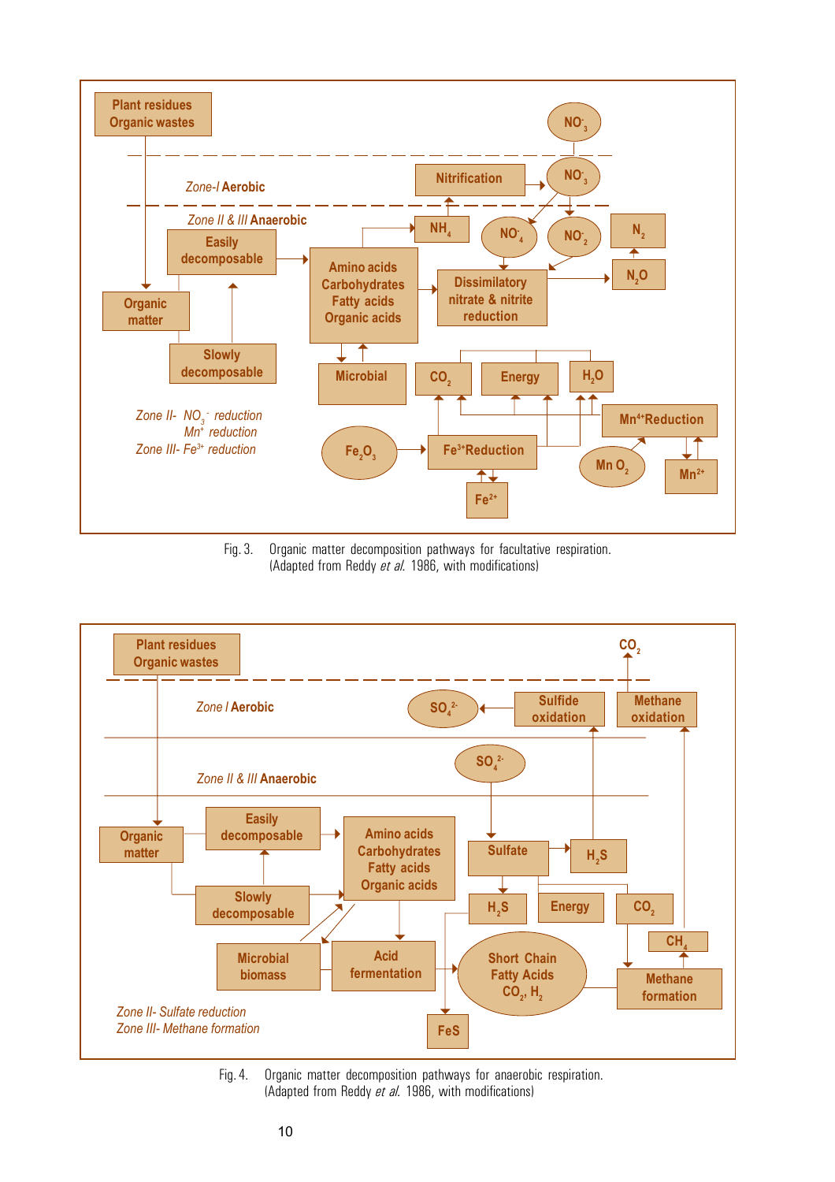

Fig. 3. Organic matter decomposition pathways for facultative respiration. (Adapted from Reddy *et al.* 1986, with modifications)



Fig. 4. Organic matter decomposition pathways for anaerobic respiration. (Adapted from Reddy *et al.* 1986, with modifications)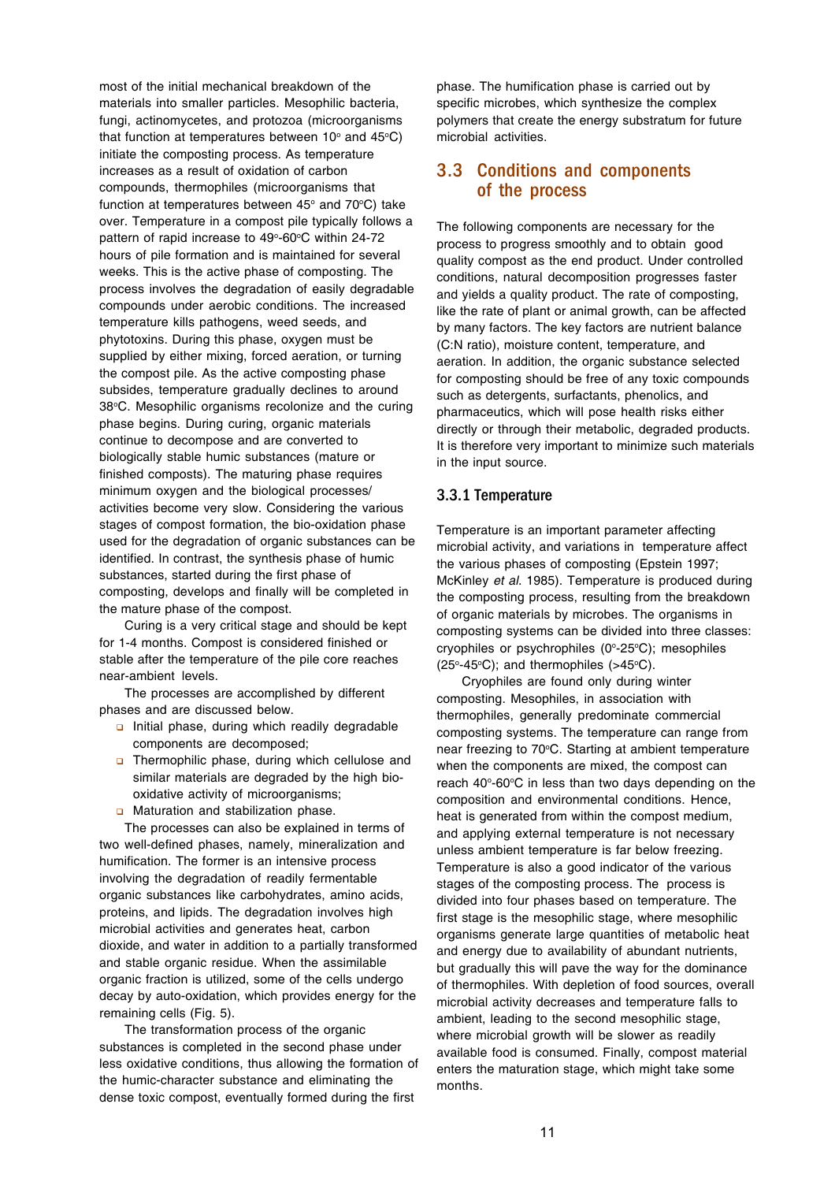most of the initial mechanical breakdown of the materials into smaller particles. Mesophilic bacteria, fungi, actinomycetes, and protozoa (microorganisms that function at temperatures between 10 $\textdegree$  and 45 $\textdegree$ C) initiate the composting process. As temperature increases as a result of oxidation of carbon compounds, thermophiles (microorganisms that function at temperatures between  $45^\circ$  and  $70^\circ$ C) take over. Temperature in a compost pile typically follows a pattern of rapid increase to 49°-60°C within 24-72 hours of pile formation and is maintained for several weeks. This is the active phase of composting. The process involves the degradation of easily degradable compounds under aerobic conditions. The increased temperature kills pathogens, weed seeds, and phytotoxins. During this phase, oxygen must be supplied by either mixing, forced aeration, or turning the compost pile. As the active composting phase subsides, temperature gradually declines to around 38°C. Mesophilic organisms recolonize and the curing phase begins. During curing, organic materials continue to decompose and are converted to biologically stable humic substances (mature or finished composts). The maturing phase requires minimum oxygen and the biological processes/ activities become very slow. Considering the various stages of compost formation, the bio-oxidation phase used for the degradation of organic substances can be identified. In contrast, the synthesis phase of humic substances, started during the first phase of composting, develops and finally will be completed in the mature phase of the compost.

Curing is a very critical stage and should be kept for 1-4 months. Compost is considered finished or stable after the temperature of the pile core reaches near-ambient levels.

The processes are accomplished by different phases and are discussed below.

- nitial phase, during which readily degradable components are decomposed;
- **n** Thermophilic phase, during which cellulose and similar materials are degraded by the high biooxidative activity of microorganisms;
- **a** Maturation and stabilization phase.

The processes can also be explained in terms of two well-defined phases, namely, mineralization and humification. The former is an intensive process involving the degradation of readily fermentable organic substances like carbohydrates, amino acids, proteins, and lipids. The degradation involves high microbial activities and generates heat, carbon dioxide, and water in addition to a partially transformed and stable organic residue. When the assimilable organic fraction is utilized, some of the cells undergo decay by auto-oxidation, which provides energy for the remaining cells (Fig. 5).

The transformation process of the organic substances is completed in the second phase under less oxidative conditions, thus allowing the formation of the humic-character substance and eliminating the dense toxic compost, eventually formed during the first

phase. The humification phase is carried out by specific microbes, which synthesize the complex polymers that create the energy substratum for future microbial activities.

## 3.3 Conditions and components of the process

The following components are necessary for the process to progress smoothly and to obtain good quality compost as the end product. Under controlled conditions, natural decomposition progresses faster and yields a quality product. The rate of composting, like the rate of plant or animal growth, can be affected by many factors. The key factors are nutrient balance (C:N ratio), moisture content, temperature, and aeration. In addition, the organic substance selected for composting should be free of any toxic compounds such as detergents, surfactants, phenolics, and pharmaceutics, which will pose health risks either directly or through their metabolic, degraded products. It is therefore very important to minimize such materials in the input source.

#### 3.3.1 Temperature

Temperature is an important parameter affecting microbial activity, and variations in temperature affect the various phases of composting (Epstein 1997; McKinley *et al*. 1985). Temperature is produced during the composting process, resulting from the breakdown of organic materials by microbes. The organisms in composting systems can be divided into three classes: cryophiles or psychrophiles (0°-25°C); mesophiles  $(25^{\circ} - 45^{\circ}C)$ ; and thermophiles  $(>45^{\circ}C)$ .

Cryophiles are found only during winter composting. Mesophiles, in association with thermophiles, generally predominate commercial composting systems. The temperature can range from near freezing to 70°C. Starting at ambient temperature when the components are mixed, the compost can reach 40°-60°C in less than two days depending on the composition and environmental conditions. Hence, heat is generated from within the compost medium, and applying external temperature is not necessary unless ambient temperature is far below freezing. Temperature is also a good indicator of the various stages of the composting process. The process is divided into four phases based on temperature. The first stage is the mesophilic stage, where mesophilic organisms generate large quantities of metabolic heat and energy due to availability of abundant nutrients, but gradually this will pave the way for the dominance of thermophiles. With depletion of food sources, overall microbial activity decreases and temperature falls to ambient, leading to the second mesophilic stage, where microbial growth will be slower as readily available food is consumed. Finally, compost material enters the maturation stage, which might take some months.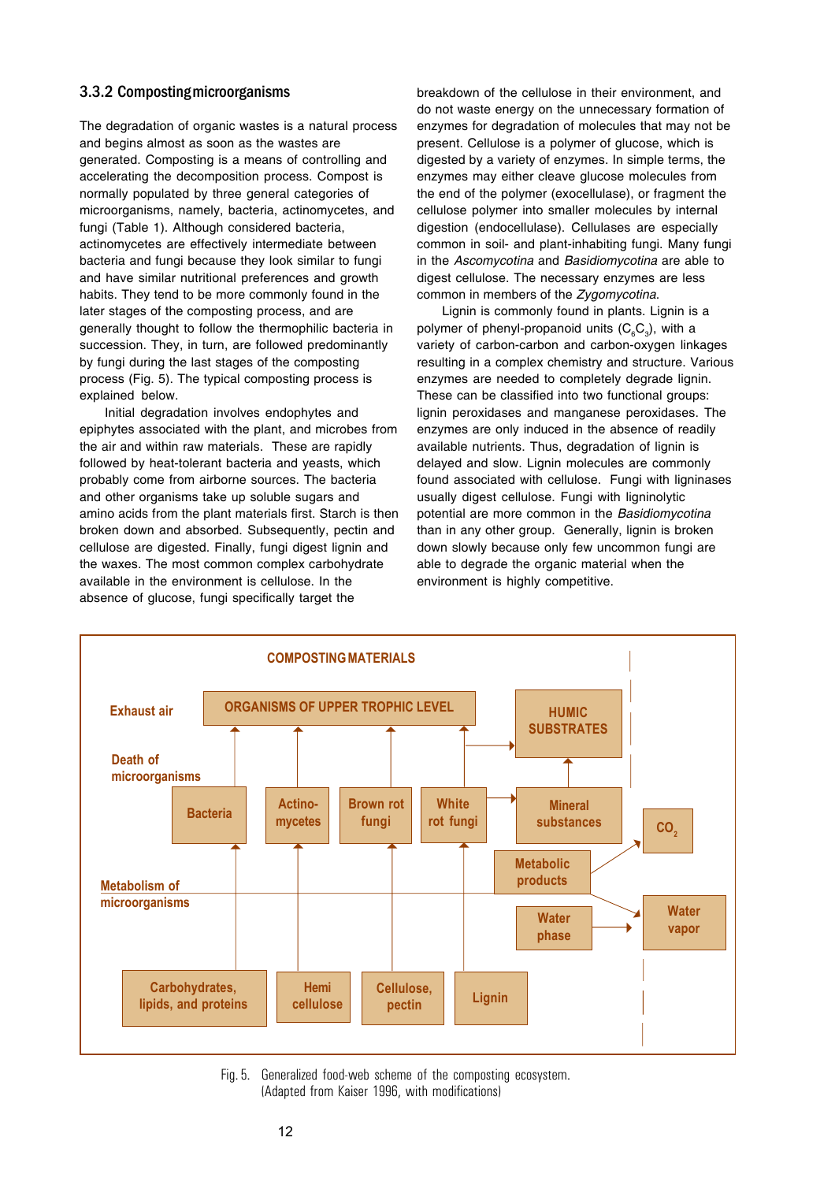## 3.3.2 Composting microorganisms

The degradation of organic wastes is a natural process and begins almost as soon as the wastes are generated. Composting is a means of controlling and accelerating the decomposition process. Compost is normally populated by three general categories of microorganisms, namely, bacteria, actinomycetes, and fungi (Table 1). Although considered bacteria, actinomycetes are effectively intermediate between bacteria and fungi because they look similar to fungi and have similar nutritional preferences and growth habits. They tend to be more commonly found in the later stages of the composting process, and are generally thought to follow the thermophilic bacteria in succession. They, in turn, are followed predominantly by fungi during the last stages of the composting process (Fig. 5). The typical composting process is explained below.

Initial degradation involves endophytes and epiphytes associated with the plant, and microbes from the air and within raw materials. These are rapidly followed by heat-tolerant bacteria and yeasts, which probably come from airborne sources. The bacteria and other organisms take up soluble sugars and amino acids from the plant materials first. Starch is then broken down and absorbed. Subsequently, pectin and cellulose are digested. Finally, fungi digest lignin and the waxes. The most common complex carbohydrate available in the environment is cellulose. In the absence of glucose, fungi specifically target the

breakdown of the cellulose in their environment, and do not waste energy on the unnecessary formation of enzymes for degradation of molecules that may not be present. Cellulose is a polymer of glucose, which is digested by a variety of enzymes. In simple terms, the enzymes may either cleave glucose molecules from the end of the polymer (exocellulase), or fragment the cellulose polymer into smaller molecules by internal digestion (endocellulase). Cellulases are especially common in soil- and plant-inhabiting fungi. Many fungi in the *Ascomycotina* and *Basidiomycotina* are able to digest cellulose. The necessary enzymes are less common in members of the *Zygomycotina*.

Lignin is commonly found in plants. Lignin is a polymer of phenyl-propanoid units ( $\mathsf{C}_{\scriptscriptstyle{6}}\mathsf{C}_{\scriptscriptstyle{3}}$ ), with a variety of carbon-carbon and carbon-oxygen linkages resulting in a complex chemistry and structure. Various enzymes are needed to completely degrade lignin. These can be classified into two functional groups: lignin peroxidases and manganese peroxidases. The enzymes are only induced in the absence of readily available nutrients. Thus, degradation of lignin is delayed and slow. Lignin molecules are commonly found associated with cellulose. Fungi with ligninases usually digest cellulose. Fungi with ligninolytic potential are more common in the *Basidiomycotina* than in any other group. Generally, lignin is broken down slowly because only few uncommon fungi are able to degrade the organic material when the environment is highly competitive.



Fig. 5. Generalized food-web scheme of the composting ecosystem. (Adapted from Kaiser 1996, with modifications)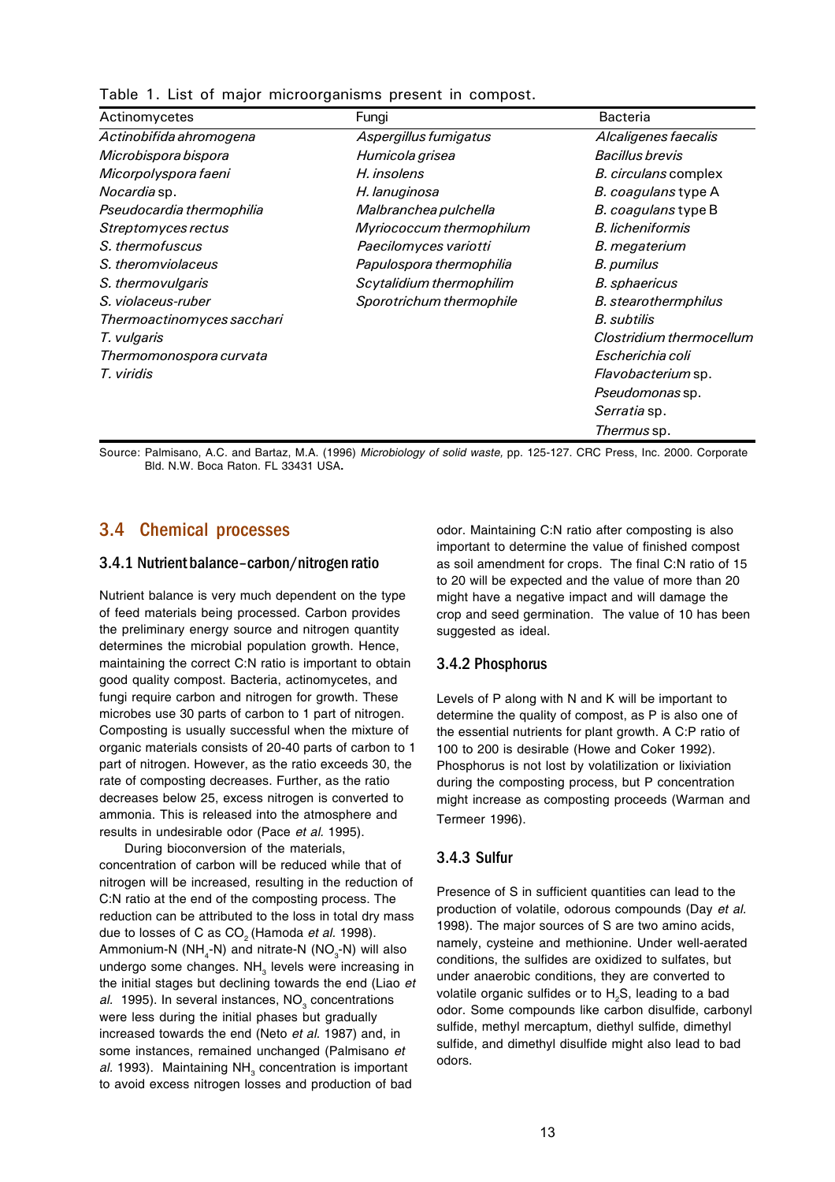|  |  |  | Table 1. List of major microorganisms present in compost. |  |  |
|--|--|--|-----------------------------------------------------------|--|--|
|  |  |  |                                                           |  |  |

| Actinomycetes              | Fungi                    | <b>Bacteria</b>             |
|----------------------------|--------------------------|-----------------------------|
| Actinobifida ahromogena    | Aspergillus fumigatus    | Alcaligenes faecalis        |
| Microbispora bispora       | Humicola grisea          | <b>Bacillus brevis</b>      |
| Micorpolyspora faeni       | H. insolens              | <i>B. circulans</i> complex |
| <i>Nocardia</i> sp.        | H. lanuginosa            | <i>B. coagulans</i> type A  |
| Pseudocardia thermophilia  | Malbranchea pulchella    | <i>B. coagulans</i> type B  |
| Streptomyces rectus        | Myriococcum thermophilum | <b>B.</b> licheniformis     |
| S. thermofuscus            | Paecilomyces variotti    | B. megaterium               |
| S. theromviolaceus         | Papulospora thermophilia | B. pumilus                  |
| S. thermovulgaris          | Scytalidium thermophilim | <b>B.</b> sphaericus        |
| S. violaceus-ruber         | Sporotrichum thermophile | <b>B.</b> stearothermphilus |
| Thermoactinomyces sacchari |                          | <b>B.</b> subtilis          |
| T. vulgaris                |                          | Clostridium thermocellum    |
| Thermomonospora curvata    |                          | Escherichia coli            |
| T. viridis                 |                          | <i>Flavobacterium</i> sp.   |
|                            |                          | Pseudomonas sp.             |
|                            |                          | <i>Serratia</i> sp.         |
|                            |                          | <i>Thermus</i> sp.          |

Source: Palmisano, A.C. and Bartaz, M.A. (1996) *Microbiology of solid waste,* pp. 125-127. CRC Press, Inc. 2000. Corporate Bld. N.W. Boca Raton. FL 33431 USA**.**

## 3.4 Chemical processes

#### 3.4.1 Nutrient balance–carbon/nitrogen ratio

Nutrient balance is very much dependent on the type of feed materials being processed. Carbon provides the preliminary energy source and nitrogen quantity determines the microbial population growth. Hence, maintaining the correct C:N ratio is important to obtain good quality compost. Bacteria, actinomycetes, and fungi require carbon and nitrogen for growth. These microbes use 30 parts of carbon to 1 part of nitrogen. Composting is usually successful when the mixture of organic materials consists of 20-40 parts of carbon to 1 part of nitrogen. However, as the ratio exceeds 30, the rate of composting decreases. Further, as the ratio decreases below 25, excess nitrogen is converted to ammonia. This is released into the atmosphere and results in undesirable odor (Pace *et al.* 1995).

During bioconversion of the materials, concentration of carbon will be reduced while that of nitrogen will be increased, resulting in the reduction of C:N ratio at the end of the composting process. The reduction can be attributed to the loss in total dry mass due to losses of C as CO<sub>2</sub> (Hamoda *et al.* 1998). Ammonium-N (NH<sub>4</sub>-N) and nitrate-N (NO<sub>3</sub>-N) will also undergo some changes. NH<sub>2</sub> levels were increasing in the initial stages but declining towards the end (Liao *et* al. 1995). In several instances, NO<sub>3</sub> concentrations were less during the initial phases but gradually increased towards the end (Neto *et al.* 1987) and, in some instances, remained unchanged (Palmisano *et* al. 1993). Maintaining NH<sub>3</sub> concentration is important to avoid excess nitrogen losses and production of bad

odor. Maintaining C:N ratio after composting is also important to determine the value of finished compost as soil amendment for crops. The final C:N ratio of 15 to 20 will be expected and the value of more than 20 might have a negative impact and will damage the crop and seed germination. The value of 10 has been suggested as ideal.

## 3.4.2 Phosphorus

Levels of P along with N and K will be important to determine the quality of compost, as P is also one of the essential nutrients for plant growth. A C:P ratio of 100 to 200 is desirable (Howe and Coker 1992). Phosphorus is not lost by volatilization or lixiviation during the composting process, but P concentration might increase as composting proceeds (Warman and Termeer 1996).

## 3.4.3 Sulfur

Presence of S in sufficient quantities can lead to the production of volatile, odorous compounds (Day *et al.* 1998). The major sources of S are two amino acids, namely, cysteine and methionine. Under well-aerated conditions, the sulfides are oxidized to sulfates, but under anaerobic conditions, they are converted to volatile organic sulfides or to H2S, leading to a bad odor. Some compounds like carbon disulfide, carbonyl sulfide, methyl mercaptum, diethyl sulfide, dimethyl sulfide, and dimethyl disulfide might also lead to bad odors.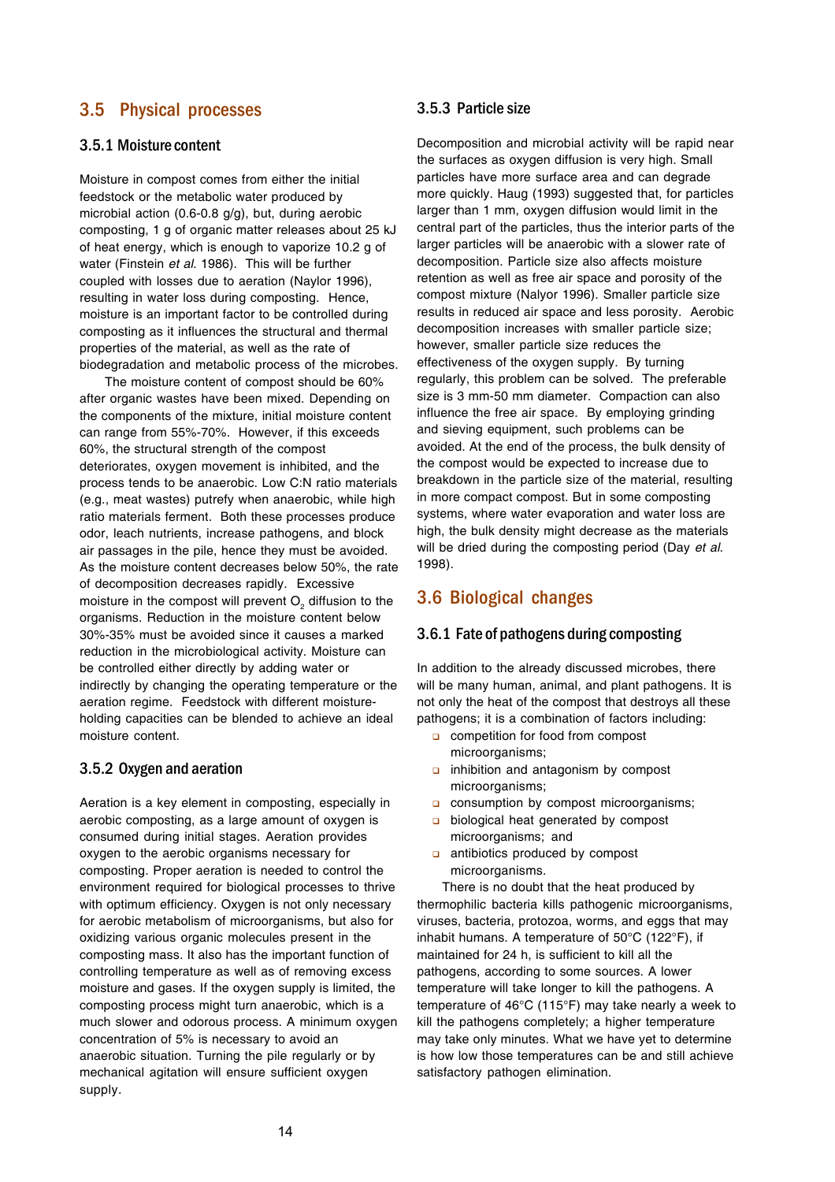# 3.5 Physical processes

## 3.5.1 Moisture content

Moisture in compost comes from either the initial feedstock or the metabolic water produced by microbial action (0.6-0.8 g/g), but, during aerobic composting, 1 g of organic matter releases about 25 kJ of heat energy, which is enough to vaporize 10.2 g of water (Finstein *et al.* 1986). This will be further coupled with losses due to aeration (Naylor 1996), resulting in water loss during composting. Hence, moisture is an important factor to be controlled during composting as it influences the structural and thermal properties of the material, as well as the rate of biodegradation and metabolic process of the microbes.

The moisture content of compost should be 60% after organic wastes have been mixed. Depending on the components of the mixture, initial moisture content can range from 55%-70%. However, if this exceeds 60%, the structural strength of the compost deteriorates, oxygen movement is inhibited, and the process tends to be anaerobic. Low C:N ratio materials (e.g., meat wastes) putrefy when anaerobic, while high ratio materials ferment. Both these processes produce odor, leach nutrients, increase pathogens, and block air passages in the pile, hence they must be avoided. As the moisture content decreases below 50%, the rate of decomposition decreases rapidly. Excessive moisture in the compost will prevent  $\mathsf{O}_2$  diffusion to the organisms. Reduction in the moisture content below 30%-35% must be avoided since it causes a marked reduction in the microbiological activity. Moisture can be controlled either directly by adding water or indirectly by changing the operating temperature or the aeration regime. Feedstock with different moistureholding capacities can be blended to achieve an ideal moisture content.

#### 3.5.2 Oxygen and aeration

Aeration is a key element in composting, especially in aerobic composting, as a large amount of oxygen is consumed during initial stages. Aeration provides oxygen to the aerobic organisms necessary for composting. Proper aeration is needed to control the environment required for biological processes to thrive with optimum efficiency. Oxygen is not only necessary for aerobic metabolism of microorganisms, but also for oxidizing various organic molecules present in the composting mass. It also has the important function of controlling temperature as well as of removing excess moisture and gases. If the oxygen supply is limited, the composting process might turn anaerobic, which is a much slower and odorous process. A minimum oxygen concentration of 5% is necessary to avoid an anaerobic situation. Turning the pile regularly or by mechanical agitation will ensure sufficient oxygen supply.

#### 3.5.3 Particle size

Decomposition and microbial activity will be rapid near the surfaces as oxygen diffusion is very high. Small particles have more surface area and can degrade more quickly. Haug (1993) suggested that, for particles larger than 1 mm, oxygen diffusion would limit in the central part of the particles, thus the interior parts of the larger particles will be anaerobic with a slower rate of decomposition. Particle size also affects moisture retention as well as free air space and porosity of the compost mixture (Nalyor 1996). Smaller particle size results in reduced air space and less porosity. Aerobic decomposition increases with smaller particle size; however, smaller particle size reduces the effectiveness of the oxygen supply. By turning regularly, this problem can be solved. The preferable size is 3 mm-50 mm diameter. Compaction can also influence the free air space. By employing grinding and sieving equipment, such problems can be avoided. At the end of the process, the bulk density of the compost would be expected to increase due to breakdown in the particle size of the material, resulting in more compact compost. But in some composting systems, where water evaporation and water loss are high, the bulk density might decrease as the materials will be dried during the composting period (Day *et al*. 1998).

# 3.6 Biological changes

#### 3.6.1 Fate of pathogens during composting

In addition to the already discussed microbes, there will be many human, animal, and plant pathogens. It is not only the heat of the compost that destroys all these pathogens; it is a combination of factors including:

- **a** competition for food from compost microorganisms;
- $\Box$  inhibition and antagonism by compost microorganisms;
- **a** consumption by compost microorganisms;
- **a** biological heat generated by compost microorganisms; and
- $\Box$  antibiotics produced by compost microorganisms.

There is no doubt that the heat produced by thermophilic bacteria kills pathogenic microorganisms, viruses, bacteria, protozoa, worms, and eggs that may inhabit humans. A temperature of 50°C (122°F), if maintained for 24 h, is sufficient to kill all the pathogens, according to some sources. A lower temperature will take longer to kill the pathogens. A temperature of 46°C (115°F) may take nearly a week to kill the pathogens completely; a higher temperature may take only minutes. What we have yet to determine is how low those temperatures can be and still achieve satisfactory pathogen elimination.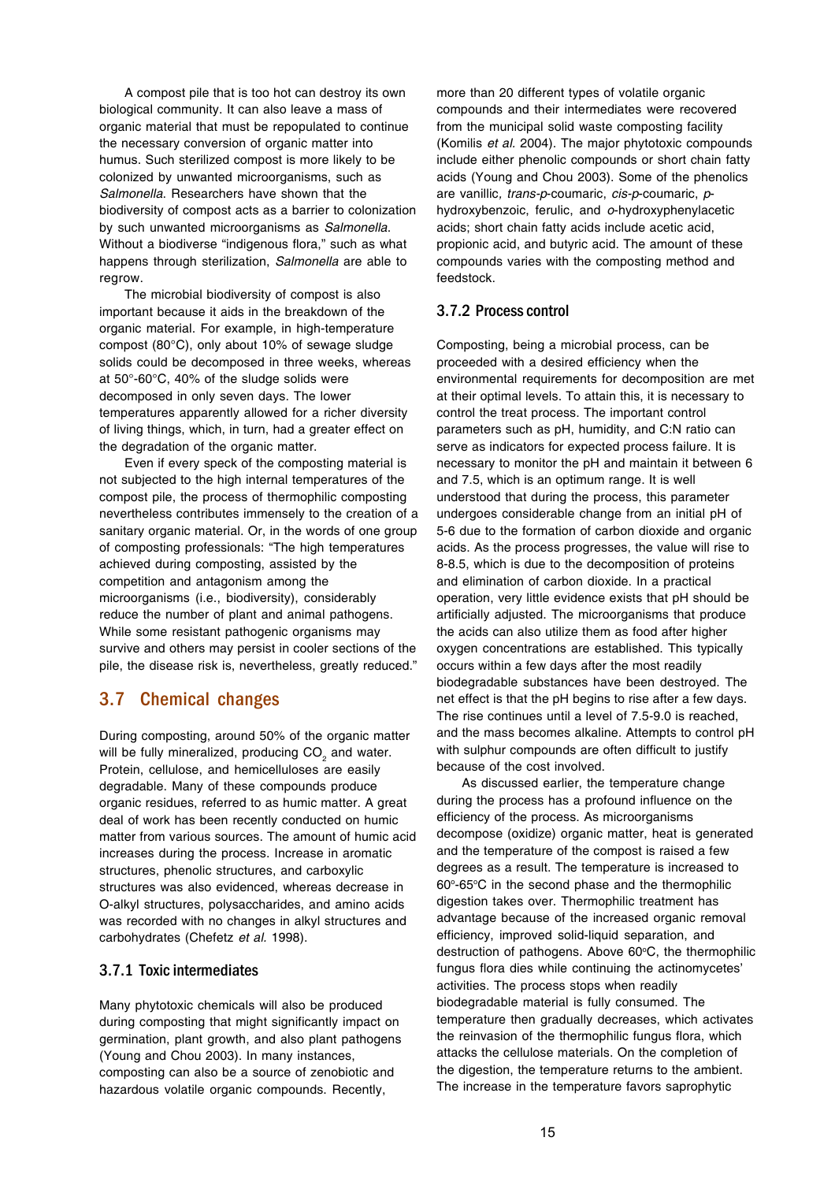A compost pile that is too hot can destroy its own biological community. It can also leave a mass of organic material that must be repopulated to continue the necessary conversion of organic matter into humus. Such sterilized compost is more likely to be colonized by unwanted microorganisms, such as *Salmonella*. Researchers have shown that the biodiversity of compost acts as a barrier to colonization by such unwanted microorganisms as *Salmonella*. Without a biodiverse "indigenous flora," such as what happens through sterilization, *Salmonella* are able to regrow.

The microbial biodiversity of compost is also important because it aids in the breakdown of the organic material. For example, in high-temperature compost (80°C), only about 10% of sewage sludge solids could be decomposed in three weeks, whereas at 50°-60°C, 40% of the sludge solids were decomposed in only seven days. The lower temperatures apparently allowed for a richer diversity of living things, which, in turn, had a greater effect on the degradation of the organic matter.

Even if every speck of the composting material is not subjected to the high internal temperatures of the compost pile, the process of thermophilic composting nevertheless contributes immensely to the creation of a sanitary organic material. Or, in the words of one group of composting professionals: "The high temperatures achieved during composting, assisted by the competition and antagonism among the microorganisms (i.e., biodiversity), considerably reduce the number of plant and animal pathogens. While some resistant pathogenic organisms may survive and others may persist in cooler sections of the pile, the disease risk is, nevertheless, greatly reduced."

# 3.7 Chemical changes

During composting, around 50% of the organic matter will be fully mineralized, producing CO<sub>2</sub> and water. Protein, cellulose, and hemicelluloses are easily degradable. Many of these compounds produce organic residues, referred to as humic matter. A great deal of work has been recently conducted on humic matter from various sources. The amount of humic acid increases during the process. Increase in aromatic structures, phenolic structures, and carboxylic structures was also evidenced, whereas decrease in O-alkyl structures, polysaccharides, and amino acids was recorded with no changes in alkyl structures and carbohydrates (Chefetz *et al.* 1998).

## 3.7.1 Toxic intermediates

Many phytotoxic chemicals will also be produced during composting that might significantly impact on germination, plant growth, and also plant pathogens (Young and Chou 2003). In many instances, composting can also be a source of zenobiotic and hazardous volatile organic compounds. Recently,

more than 20 different types of volatile organic compounds and their intermediates were recovered from the municipal solid waste composting facility (Komilis *et al.* 2004). The major phytotoxic compounds include either phenolic compounds or short chain fatty acids (Young and Chou 2003). Some of the phenolics are vanillic*, trans-p*-coumaric, *cis-p*-coumaric, *p*hydroxybenzoic, ferulic, and *o*-hydroxyphenylacetic acids; short chain fatty acids include acetic acid, propionic acid, and butyric acid. The amount of these compounds varies with the composting method and feedstock.

## 3.7.2 Process control

Composting, being a microbial process, can be proceeded with a desired efficiency when the environmental requirements for decomposition are met at their optimal levels. To attain this, it is necessary to control the treat process. The important control parameters such as pH, humidity, and C:N ratio can serve as indicators for expected process failure. It is necessary to monitor the pH and maintain it between 6 and 7.5, which is an optimum range. It is well understood that during the process, this parameter undergoes considerable change from an initial pH of 5-6 due to the formation of carbon dioxide and organic acids. As the process progresses, the value will rise to 8-8.5, which is due to the decomposition of proteins and elimination of carbon dioxide. In a practical operation, very little evidence exists that pH should be artificially adjusted. The microorganisms that produce the acids can also utilize them as food after higher oxygen concentrations are established. This typically occurs within a few days after the most readily biodegradable substances have been destroyed. The net effect is that the pH begins to rise after a few days. The rise continues until a level of 7.5-9.0 is reached, and the mass becomes alkaline. Attempts to control pH with sulphur compounds are often difficult to justify because of the cost involved.

As discussed earlier, the temperature change during the process has a profound influence on the efficiency of the process. As microorganisms decompose (oxidize) organic matter, heat is generated and the temperature of the compost is raised a few degrees as a result. The temperature is increased to 60°-65°C in the second phase and the thermophilic digestion takes over. Thermophilic treatment has advantage because of the increased organic removal efficiency, improved solid-liquid separation, and destruction of pathogens. Above 60°C, the thermophilic fungus flora dies while continuing the actinomycetes' activities. The process stops when readily biodegradable material is fully consumed. The temperature then gradually decreases, which activates the reinvasion of the thermophilic fungus flora, which attacks the cellulose materials. On the completion of the digestion, the temperature returns to the ambient. The increase in the temperature favors saprophytic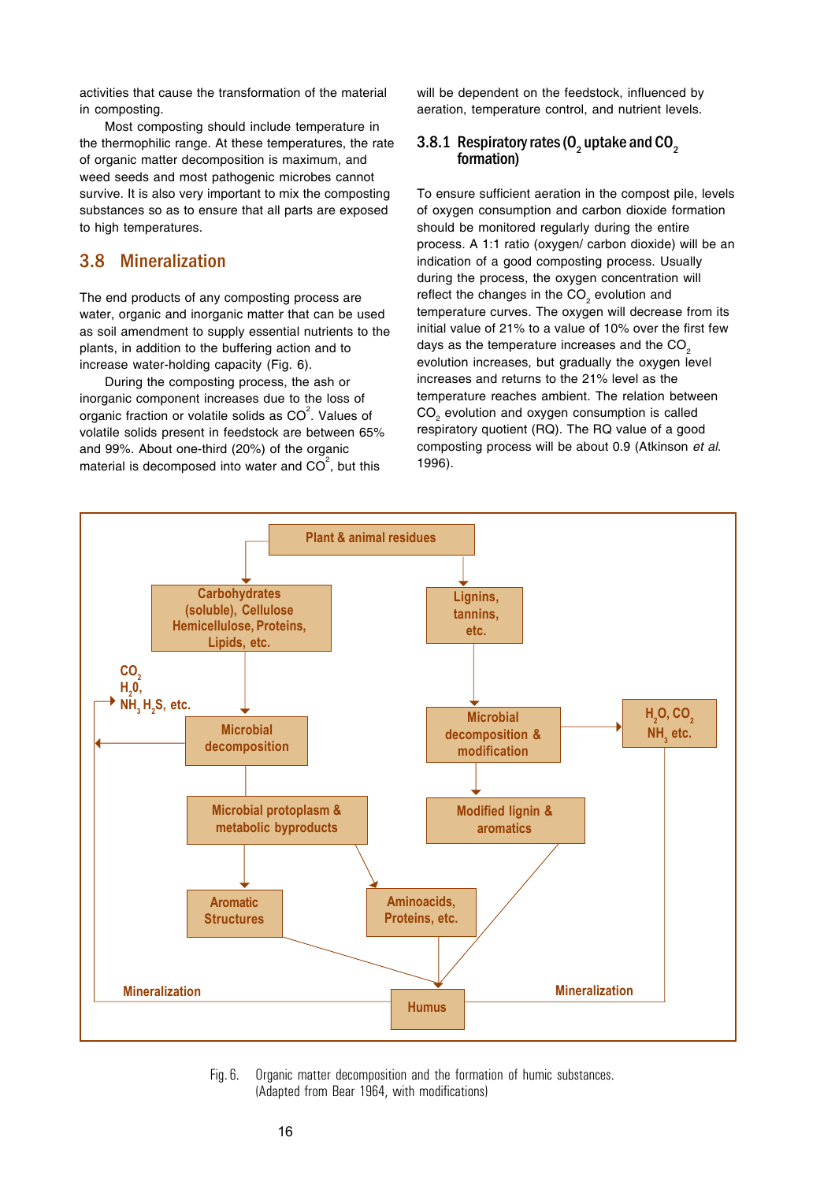activities that cause the transformation of the material in composting.

Most composting should include temperature in the thermophilic range. At these temperatures, the rate of organic matter decomposition is maximum, and weed seeds and most pathogenic microbes cannot survive. It is also very important to mix the composting substances so as to ensure that all parts are exposed to high temperatures.

# 3.8 Mineralization

The end products of any composting process are water, organic and inorganic matter that can be used as soil amendment to supply essential nutrients to the plants, in addition to the buffering action and to increase water-holding capacity (Fig. 6).

During the composting process, the ash or inorganic component increases due to the loss of organic fraction or volatile solids as CO $^{2}$ . Values of volatile solids present in feedstock are between 65% and 99%. About one-third (20%) of the organic material is decomposed into water and CO $^{2}$ , but this

will be dependent on the feedstock, influenced by aeration, temperature control, and nutrient levels.

#### 3.8.1 Respiratory rates (O<sub>2</sub> uptake and CO<sub>2</sub> formation)

To ensure sufficient aeration in the compost pile, levels of oxygen consumption and carbon dioxide formation should be monitored regularly during the entire process. A 1:1 ratio (oxygen/ carbon dioxide) will be an indication of a good composting process. Usually during the process, the oxygen concentration will reflect the changes in the CO<sub>2</sub> evolution and temperature curves. The oxygen will decrease from its initial value of 21% to a value of 10% over the first few days as the temperature increases and the CO<sub>2</sub> evolution increases, but gradually the oxygen level increases and returns to the 21% level as the temperature reaches ambient. The relation between  $\mathsf{CO}_2$  evolution and oxygen consumption is called respiratory quotient (RQ). The RQ value of a good composting process will be about 0.9 (Atkinson *et al*. 1996).



Fig. 6. Organic matter decomposition and the formation of humic substances. (Adapted from Bear 1964, with modifications)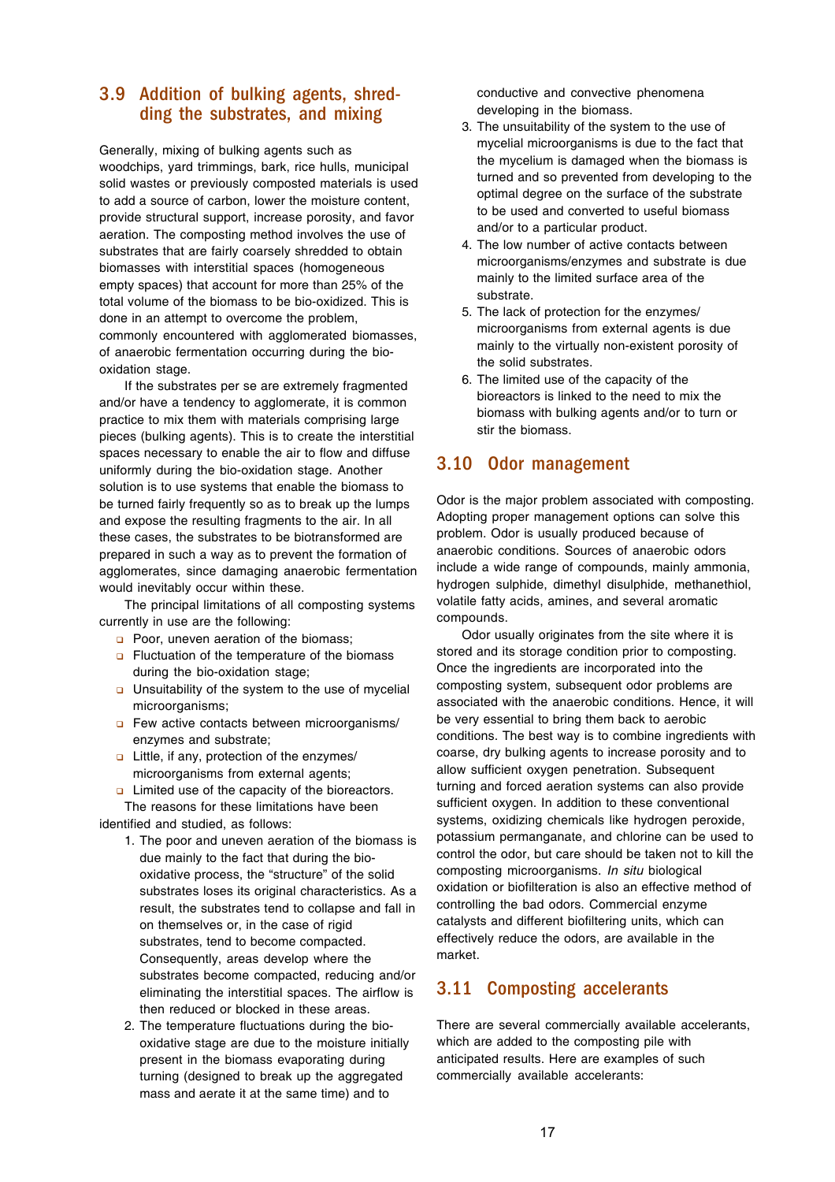# 3.9 Addition of bulking agents, shredding the substrates, and mixing

Generally, mixing of bulking agents such as woodchips, yard trimmings, bark, rice hulls, municipal solid wastes or previously composted materials is used to add a source of carbon, lower the moisture content, provide structural support, increase porosity, and favor aeration. The composting method involves the use of substrates that are fairly coarsely shredded to obtain biomasses with interstitial spaces (homogeneous empty spaces) that account for more than 25% of the total volume of the biomass to be bio-oxidized. This is done in an attempt to overcome the problem, commonly encountered with agglomerated biomasses, of anaerobic fermentation occurring during the biooxidation stage.

If the substrates per se are extremely fragmented and/or have a tendency to agglomerate, it is common practice to mix them with materials comprising large pieces (bulking agents). This is to create the interstitial spaces necessary to enable the air to flow and diffuse uniformly during the bio-oxidation stage. Another solution is to use systems that enable the biomass to be turned fairly frequently so as to break up the lumps and expose the resulting fragments to the air. In all these cases, the substrates to be biotransformed are prepared in such a way as to prevent the formation of agglomerates, since damaging anaerobic fermentation would inevitably occur within these.

The principal limitations of all composting systems currently in use are the following:

- **p** Poor, uneven aeration of the biomass;
- $\Box$  Fluctuation of the temperature of the biomass during the bio-oxidation stage;
- $\Box$  Unsuitability of the system to the use of mycelial microorganisms;
- **p** Few active contacts between microorganisms/ enzymes and substrate;
- $\Box$  Little, if any, protection of the enzymes/ microorganisms from external agents;
- $\Box$  Limited use of the capacity of the bioreactors. The reasons for these limitations have been

identified and studied, as follows:

- 1. The poor and uneven aeration of the biomass is due mainly to the fact that during the biooxidative process, the "structure" of the solid substrates loses its original characteristics. As a result, the substrates tend to collapse and fall in on themselves or, in the case of rigid substrates, tend to become compacted. Consequently, areas develop where the substrates become compacted, reducing and/or eliminating the interstitial spaces. The airflow is then reduced or blocked in these areas.
- 2. The temperature fluctuations during the biooxidative stage are due to the moisture initially present in the biomass evaporating during turning (designed to break up the aggregated mass and aerate it at the same time) and to

conductive and convective phenomena developing in the biomass.

- 3. The unsuitability of the system to the use of mycelial microorganisms is due to the fact that the mycelium is damaged when the biomass is turned and so prevented from developing to the optimal degree on the surface of the substrate to be used and converted to useful biomass and/or to a particular product.
- 4. The low number of active contacts between microorganisms/enzymes and substrate is due mainly to the limited surface area of the substrate.
- 5. The lack of protection for the enzymes/ microorganisms from external agents is due mainly to the virtually non-existent porosity of the solid substrates.
- 6. The limited use of the capacity of the bioreactors is linked to the need to mix the biomass with bulking agents and/or to turn or stir the biomass.

## 3.10 Odor management

Odor is the major problem associated with composting. Adopting proper management options can solve this problem. Odor is usually produced because of anaerobic conditions. Sources of anaerobic odors include a wide range of compounds, mainly ammonia, hydrogen sulphide, dimethyl disulphide, methanethiol, volatile fatty acids, amines, and several aromatic compounds.

Odor usually originates from the site where it is stored and its storage condition prior to composting. Once the ingredients are incorporated into the composting system, subsequent odor problems are associated with the anaerobic conditions. Hence, it will be very essential to bring them back to aerobic conditions. The best way is to combine ingredients with coarse, dry bulking agents to increase porosity and to allow sufficient oxygen penetration. Subsequent turning and forced aeration systems can also provide sufficient oxygen. In addition to these conventional systems, oxidizing chemicals like hydrogen peroxide, potassium permanganate, and chlorine can be used to control the odor, but care should be taken not to kill the composting microorganisms. *In situ* biological oxidation or biofilteration is also an effective method of controlling the bad odors. Commercial enzyme catalysts and different biofiltering units, which can effectively reduce the odors, are available in the market.

# 3.11 Composting accelerants

There are several commercially available accelerants, which are added to the composting pile with anticipated results. Here are examples of such commercially available accelerants: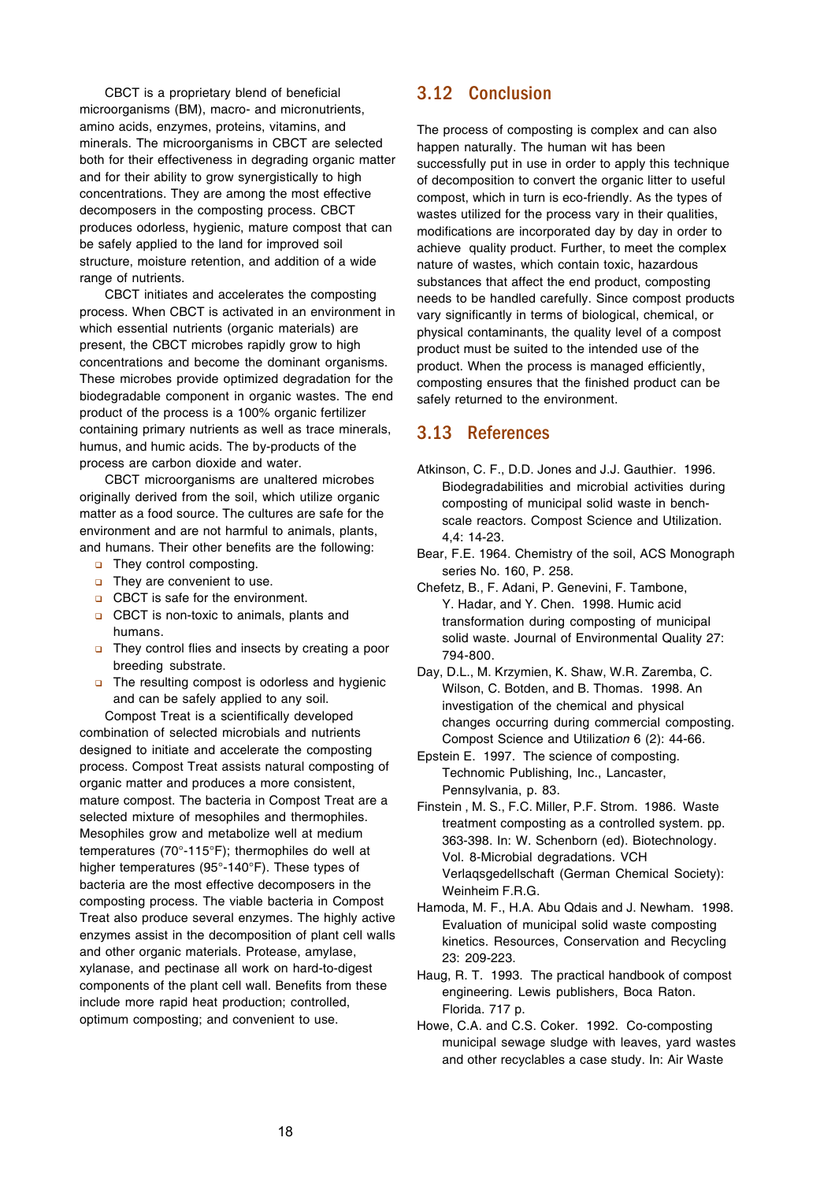CBCT is a proprietary blend of beneficial microorganisms (BM), macro- and micronutrients, amino acids, enzymes, proteins, vitamins, and minerals. The microorganisms in CBCT are selected both for their effectiveness in degrading organic matter and for their ability to grow synergistically to high concentrations. They are among the most effective decomposers in the composting process. CBCT produces odorless, hygienic, mature compost that can be safely applied to the land for improved soil structure, moisture retention, and addition of a wide range of nutrients.

CBCT initiates and accelerates the composting process. When CBCT is activated in an environment in which essential nutrients (organic materials) are present, the CBCT microbes rapidly grow to high concentrations and become the dominant organisms. These microbes provide optimized degradation for the biodegradable component in organic wastes. The end product of the process is a 100% organic fertilizer containing primary nutrients as well as trace minerals, humus, and humic acids. The by-products of the process are carbon dioxide and water.

CBCT microorganisms are unaltered microbes originally derived from the soil, which utilize organic matter as a food source. The cultures are safe for the environment and are not harmful to animals, plants, and humans. Their other benefits are the following:

- **p.** They control composting.
- $\Box$  They are convenient to use.
- **Q** CBCT is safe for the environment.
- **Q** CBCT is non-toxic to animals, plants and humans.
- **n** They control flies and insects by creating a poor breeding substrate.
- **n** The resulting compost is odorless and hygienic and can be safely applied to any soil.

Compost Treat is a scientifically developed combination of selected microbials and nutrients designed to initiate and accelerate the composting process. Compost Treat assists natural composting of organic matter and produces a more consistent, mature compost. The bacteria in Compost Treat are a selected mixture of mesophiles and thermophiles. Mesophiles grow and metabolize well at medium temperatures (70°-115°F); thermophiles do well at higher temperatures (95°-140°F). These types of bacteria are the most effective decomposers in the composting process. The viable bacteria in Compost Treat also produce several enzymes. The highly active enzymes assist in the decomposition of plant cell walls and other organic materials. Protease, amylase, xylanase, and pectinase all work on hard-to-digest components of the plant cell wall. Benefits from these include more rapid heat production; controlled, optimum composting; and convenient to use.

# 3.12 Conclusion

The process of composting is complex and can also happen naturally. The human wit has been successfully put in use in order to apply this technique of decomposition to convert the organic litter to useful compost, which in turn is eco-friendly. As the types of wastes utilized for the process vary in their qualities, modifications are incorporated day by day in order to achieve quality product. Further, to meet the complex nature of wastes, which contain toxic, hazardous substances that affect the end product, composting needs to be handled carefully. Since compost products vary significantly in terms of biological, chemical, or physical contaminants, the quality level of a compost product must be suited to the intended use of the product. When the process is managed efficiently, composting ensures that the finished product can be safely returned to the environment.

## 3.13 References

- Atkinson, C. F., D.D. Jones and J.J. Gauthier. 1996. Biodegradabilities and microbial activities during composting of municipal solid waste in benchscale reactors. Compost Science and Utilization. 4,4: 14-23.
- Bear, F.E. 1964. Chemistry of the soil, ACS Monograph series No. 160, P. 258.
- Chefetz, B., F. Adani, P. Genevini, F. Tambone, Y. Hadar, and Y. Chen. 1998. Humic acid transformation during composting of municipal solid waste. Journal of Environmental Quality 27: 794-800.
- Day, D.L., M. Krzymien, K. Shaw, W.R. Zaremba, C. Wilson, C. Botden, and B. Thomas. 1998. An investigation of the chemical and physical changes occurring during commercial composting. Compost Science and Utilizati*on* 6 (2): 44-66.
- Epstein E. 1997. The science of composting. Technomic Publishing, Inc., Lancaster, Pennsylvania, p. 83.
- Finstein , M. S., F.C. Miller, P.F. Strom. 1986. Waste treatment composting as a controlled system. pp. 363-398. In: W. Schenborn (ed). Biotechnology. Vol. 8-Microbial degradations*.* VCH Verlaqsgedellschaft (German Chemical Society): Weinheim F.R.G.
- Hamoda, M. F., H.A. Abu Qdais and J. Newham. 1998. Evaluation of municipal solid waste composting kinetics. Resources, Conservation and Recycling 23: 209-223.
- Haug, R. T. 1993. The practical handbook of compost engineering. Lewis publishers, Boca Raton. Florida. 717 p.
- Howe, C.A. and C.S. Coker. 1992. Co-composting municipal sewage sludge with leaves, yard wastes and other recyclables a case study. In: Air Waste